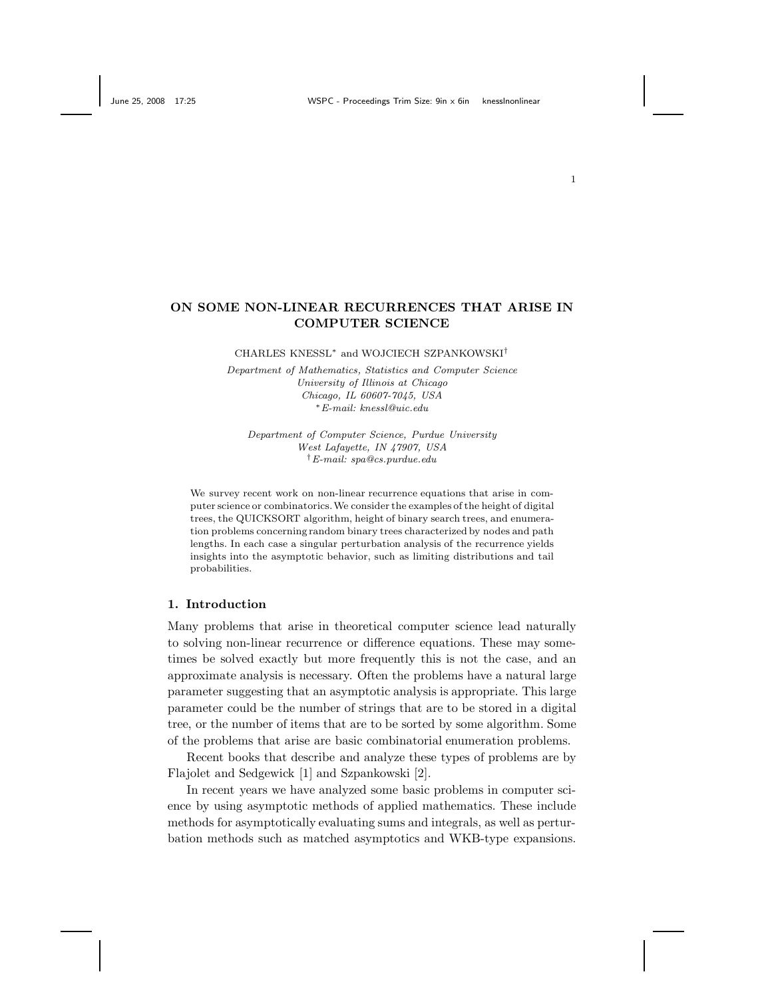# **ON SOME NON-LINEAR RECURRENCES THAT ARISE IN COMPUTER SCIENCE**

CHARLES KNESSL<sup>∗</sup> and WOJCIECH SZPANKOWSKI†

*Department of Mathematics, Statistics and Computer Science University of Illinois at Chicago Chicago, IL 60607-7045, USA* <sup>∗</sup>*E-mail: knessl@uic.edu*

*Department of Computer Science, Purdue University West Lafayette, IN 47907, USA* †*E-mail: spa@cs.purdue.edu*

We survey recent work on non-linear recurrence equations that arise in computer science or combinatorics.We consider the examples of the height of digital trees, the QUICKSORT algorithm, height of binary search trees, and enumeration problems concerning random binary trees characterized by nodes and path lengths. In each case a singular perturbation analysis of the recurrence yields insights into the asymptotic behavior, such as limiting distributions and tail probabilities.

#### **1. Introduction**

Many problems that arise in theoretical computer science lead naturally to solving non-linear recurrence or difference equations. These may sometimes be solved exactly but more frequently this is not the case, and an approximate analysis is necessary. Often the problems have a natural large parameter suggesting that an asymptotic analysis is appropriate. This large parameter could be the number of strings that are to be stored in a digital tree, or the number of items that are to be sorted by some algorithm. Some of the problems that arise are basic combinatorial enumeration problems.

Recent books that describe and analyze these types of problems are by Flajolet and Sedgewick [1] and Szpankowski [2].

In recent years we have analyzed some basic problems in computer science by using asymptotic methods of applied mathematics. These include methods for asymptotically evaluating sums and integrals, as well as perturbation methods such as matched asymptotics and WKB-type expansions.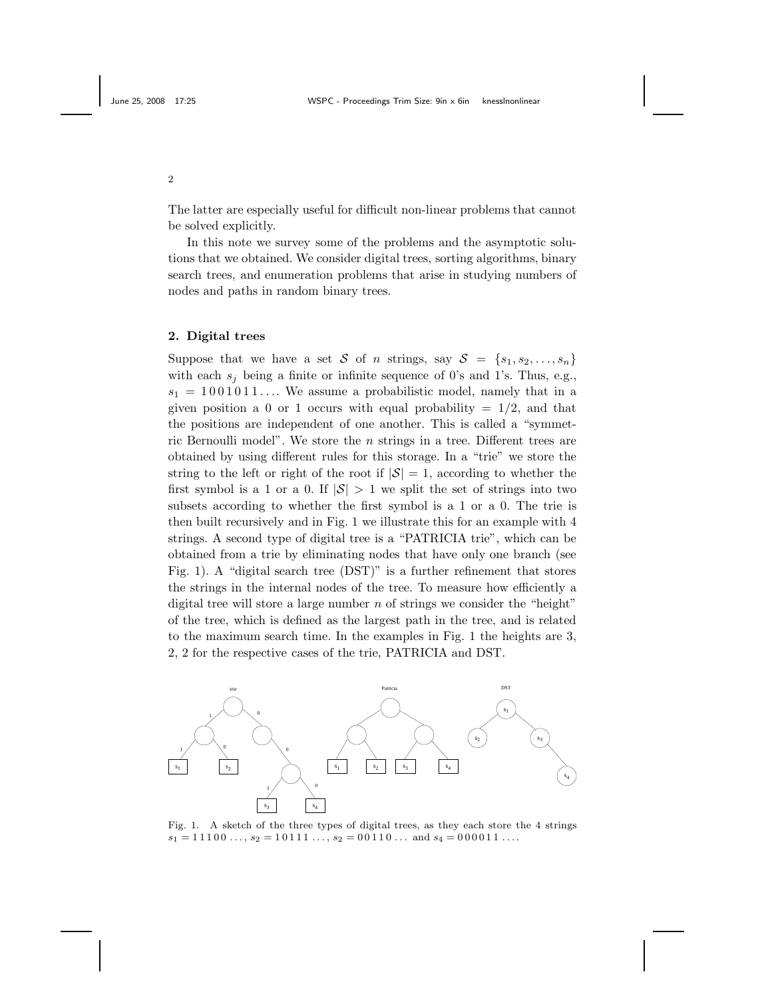The latter are especially useful for difficult non-linear problems that cannot be solved explicitly.

In this note we survey some of the problems and the asymptotic solutions that we obtained. We consider digital trees, sorting algorithms, binary search trees, and enumeration problems that arise in studying numbers of nodes and paths in random binary trees.

## **2. Digital trees**

Suppose that we have a set S of *n* strings, say  $S = \{s_1, s_2, \ldots, s_n\}$ with each  $s_j$  being a finite or infinite sequence of 0's and 1's. Thus, e.g.,  $s_1 = 1001011...$  We assume a probabilistic model, namely that in a given position a 0 or 1 occurs with equal probability  $= 1/2$ , and that the positions are independent of one another. This is called a "symmetric Bernoulli model". We store the *n* strings in a tree. Different trees are obtained by using different rules for this storage. In a "trie" we store the string to the left or right of the root if  $|\mathcal{S}| = 1$ , according to whether the first symbol is a 1 or a 0. If  $|\mathcal{S}| > 1$  we split the set of strings into two subsets according to whether the first symbol is a 1 or a 0. The trie is then built recursively and in Fig. 1 we illustrate this for an example with 4 strings. A second type of digital tree is a "PATRICIA trie", which can be obtained from a trie by eliminating nodes that have only one branch (see Fig. 1). A "digital search tree (DST)" is a further refinement that stores the strings in the internal nodes of the tree. To measure how efficiently a digital tree will store a large number *n* of strings we consider the "height" of the tree, which is defined as the largest path in the tree, and is related to the maximum search time. In the examples in Fig. 1 the heights are 3, 2, 2 for the respective cases of the trie, PATRICIA and DST.



Fig. 1. A sketch of the three types of digital trees, as they each store the 4 strings  $s_1 = 11100 \ldots, s_2 = 10111 \ldots, s_2 = 00110 \ldots$  and  $s_4 = 000011 \ldots$ 

2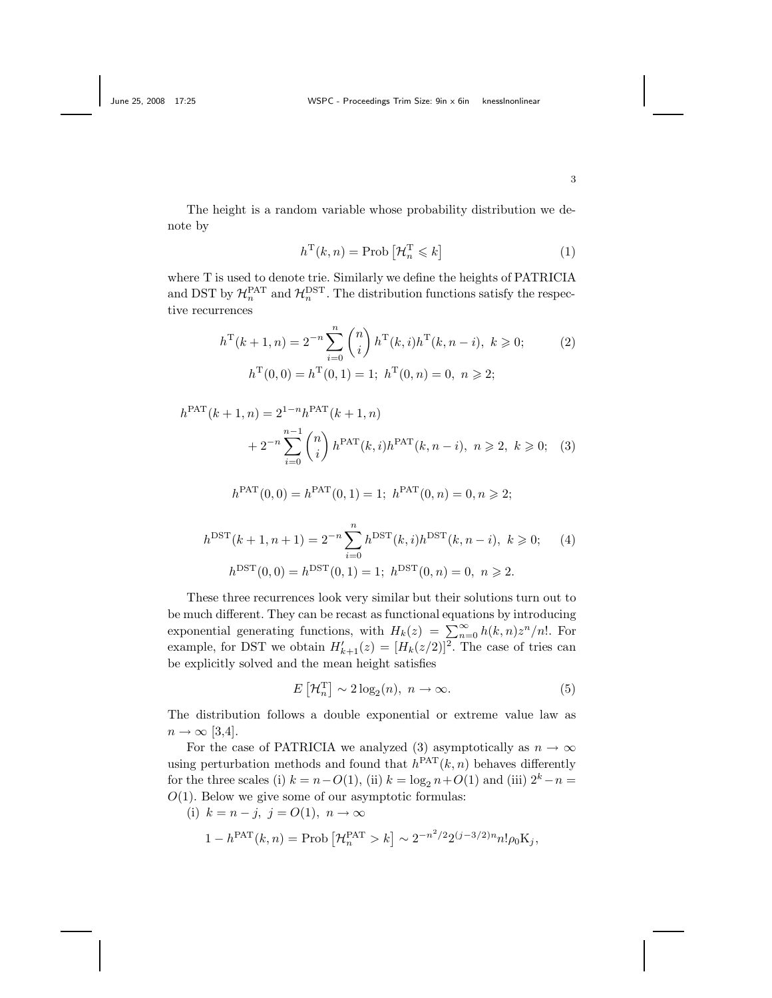The height is a random variable whose probability distribution we denote by

$$
h^{\mathrm{T}}(k, n) = \text{Prob}\left[\mathcal{H}_n^{\mathrm{T}} \leqslant k\right] \tag{1}
$$

where T is used to denote trie. Similarly we define the heights of PATRICIA and DST by  $\mathcal{H}_n^{\text{PAT}}$  and  $\mathcal{H}_n^{\text{DST}}$ . The distribution functions satisfy the respective recurrences

$$
h^{T}(k+1,n) = 2^{-n} \sum_{i=0}^{n} {n \choose i} h^{T}(k,i) h^{T}(k,n-i), \ k \geq 0; \qquad (2)
$$

$$
h^{T}(0,0) = h^{T}(0,1) = 1; \ h^{T}(0,n) = 0, \ n \geq 2;
$$

$$
h^{\text{PAT}}(k+1,n) = 2^{1-n}h^{\text{PAT}}(k+1,n)
$$
  
+ 
$$
2^{-n} \sum_{i=0}^{n-1} {n \choose i} h^{\text{PAT}}(k,i)h^{\text{PAT}}(k,n-i), \ n \geq 2, \ k \geq 0; \quad (3)
$$

$$
h^{\text{PAT}}(0,0) = h^{\text{PAT}}(0,1) = 1; \ h^{\text{PAT}}(0,n) = 0, n \ge 2;
$$

$$
h^{\text{DST}}(k+1, n+1) = 2^{-n} \sum_{i=0}^{n} h^{\text{DST}}(k, i) h^{\text{DST}}(k, n-i), \ k \geqslant 0; \quad (4)
$$

$$
h^{\text{DST}}(0, 0) = h^{\text{DST}}(0, 1) = 1; \ h^{\text{DST}}(0, n) = 0, \ n \geqslant 2.
$$

These three recurrences look very similar but their solutions turn out to be much different. They can be recast as functional equations by introducing exponential generating functions, with  $H_k(z) = \sum_{n=0}^{\infty} h(k, n)z^n/n!$ . For example, for DST we obtain  $H'_{k+1}(z) = [H_k(z/2)]^2$ . The case of tries can be explicitly solved and the mean height satisfies

$$
E\left[\mathcal{H}_n^{\mathrm{T}}\right] \sim 2\log_2(n), \ n \to \infty. \tag{5}
$$

The distribution follows a double exponential or extreme value law as  $n \to \infty$  [3,4].

For the case of PATRICIA we analyzed (3) asymptotically as  $n \to \infty$ using perturbation methods and found that  $h^{PAT}(k, n)$  behaves differently for the three scales (i)  $k = n - O(1)$ , (ii)  $k = \log_2 n + O(1)$  and (iii)  $2^k - n =$ *O*(1). Below we give some of our asymptotic formulas:

(i) 
$$
k = n - j, j = O(1), n \to \infty
$$

$$
1 - h^{\text{PAT}}(k, n) = \text{Prob}\left[\mathcal{H}_n^{\text{PAT}} > k\right] \sim 2^{-n^2/2} 2^{(j-3/2)n} n! \rho_0 \mathcal{K}_j,
$$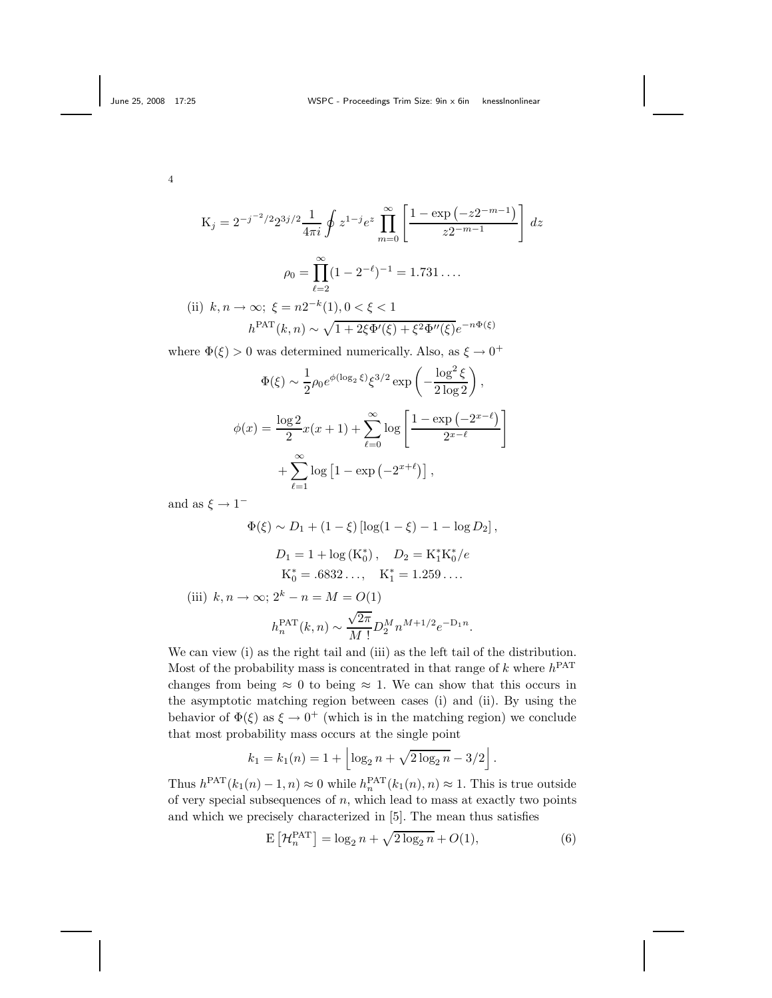$$
K_j = 2^{-j^{-2}/2} 2^{3j/2} \frac{1}{4\pi i} \oint z^{1-j} e^z \prod_{m=0}^{\infty} \left[ \frac{1 - \exp(-z^{2-m-1})}{z^{2-m-1}} \right] dz
$$

$$
\rho_0 = \prod_{\ell=2}^{\infty} (1 - 2^{-\ell})^{-1} = 1.731 \dots
$$
  
(ii)  $k, n \to \infty; \ \xi = n2^{-k}(1), 0 < \xi < 1$ 
$$
h^{\text{PAT}}(k, n) \sim \sqrt{1 + 2\xi \Phi'(\xi) + \xi^2 \Phi''(\xi)} e^{-n\Phi(\xi)}
$$

where  $\Phi(\xi) > 0$  was determined numerically. Also, as  $\xi \to 0^+$ 

$$
\Phi(\xi) \sim \frac{1}{2} \rho_0 e^{\phi(\log_2 \xi)} \xi^{3/2} \exp\left(-\frac{\log^2 \xi}{2 \log 2}\right),
$$

$$
\phi(x) = \frac{\log 2}{2} x(x+1) + \sum_{\ell=0}^{\infty} \log \left[\frac{1 - \exp(-2^{x-\ell})}{2^{x-\ell}}\right]
$$

$$
+ \sum_{\ell=1}^{\infty} \log \left[1 - \exp(-2^{x+\ell})\right],
$$

and as  $\xi \rightarrow 1^-$ 

$$
\Phi(\xi) \sim D_1 + (1 - \xi) [\log(1 - \xi) - 1 - \log D_2],
$$
  
\n
$$
D_1 = 1 + \log(\mathbf{K}_0^*), \quad D_2 = \mathbf{K}_1^* \mathbf{K}_0^* / e
$$
  
\n
$$
\mathbf{K}_0^* = .6832..., \quad \mathbf{K}_1^* = 1.259...
$$
  
\n(iii)  $k, n \to \infty; 2^k - n = M = O(1)$   
\n
$$
h_n^{\text{PAT}}(k, n) \sim \frac{\sqrt{2\pi}}{M!} D_2^M n^{M+1/2} e^{-D_1 n}.
$$

We can view (i) as the right tail and (iii) as the left tail of the distribution. Most of the probability mass is concentrated in that range of  $k$  where  $h^{PAT}$ changes from being  $\approx 0$  to being  $\approx 1$ . We can show that this occurs in the asymptotic matching region between cases (i) and (ii). By using the behavior of  $\Phi(\xi)$  as  $\xi \to 0^+$  (which is in the matching region) we conclude that most probability mass occurs at the single point

$$
k_1 = k_1(n) = 1 + \left\lfloor \log_2 n + \sqrt{2 \log_2 n} - 3/2 \right\rfloor.
$$

Thus  $h^{\text{PAT}}(k_1(n) - 1, n) \approx 0$  while  $h_n^{\text{PAT}}(k_1(n), n) \approx 1$ . This is true outside of very special subsequences of *n*, which lead to mass at exactly two points and which we precisely characterized in [5]. The mean thus satisfies

$$
\mathcal{E}\left[\mathcal{H}_n^{\text{PAT}}\right] = \log_2 n + \sqrt{2\log_2 n} + O(1),\tag{6}
$$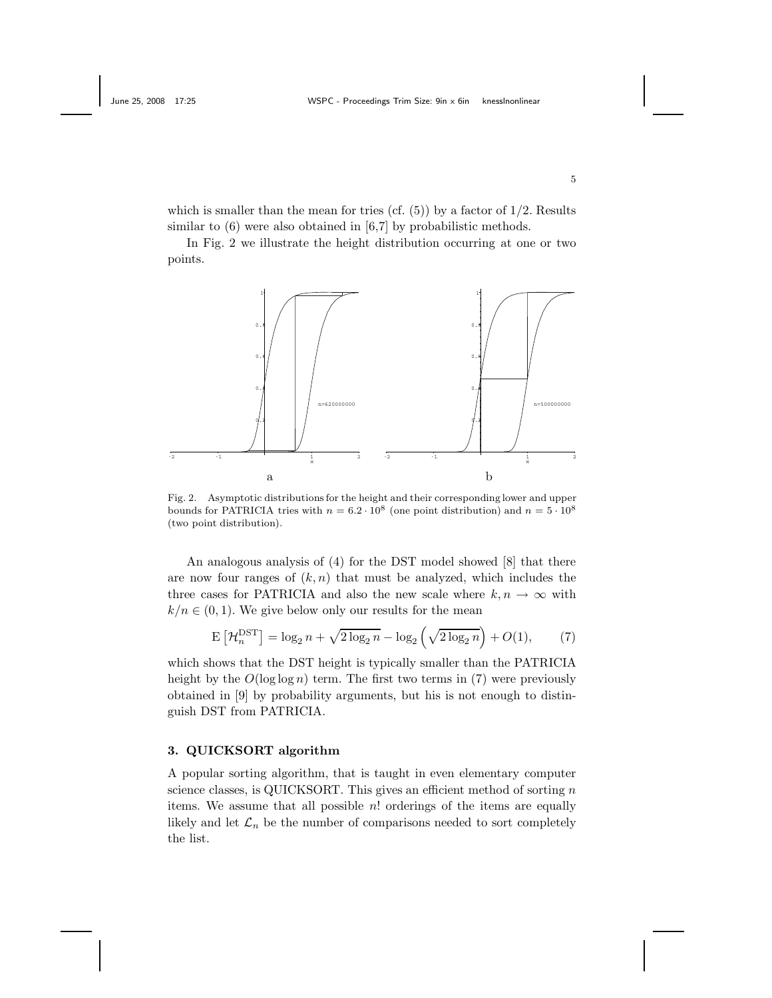which is smaller than the mean for tries (cf.  $(5)$ ) by a factor of  $1/2$ . Results similar to  $(6)$  were also obtained in  $[6,7]$  by probabilistic methods.

In Fig. 2 we illustrate the height distribution occurring at one or two points.



Fig. 2. Asymptotic distributions for the height and their corresponding lower and upper bounds for PATRICIA tries with  $n = 6.2 \cdot 10^8$  (one point distribution) and  $n = 5 \cdot 10^8$ (two point distribution).

An analogous analysis of (4) for the DST model showed [8] that there are now four ranges of  $(k, n)$  that must be analyzed, which includes the three cases for PATRICIA and also the new scale where  $k, n \to \infty$  with  $k/n \in (0, 1)$ . We give below only our results for the mean

$$
\mathcal{E}\left[\mathcal{H}_n^{\text{DST}}\right] = \log_2 n + \sqrt{2\log_2 n} - \log_2\left(\sqrt{2\log_2 n}\right) + O(1),\tag{7}
$$

which shows that the DST height is typically smaller than the PATRICIA height by the  $O(\log \log n)$  term. The first two terms in (7) were previously obtained in [9] by probability arguments, but his is not enough to distinguish DST from PATRICIA.

#### **3. QUICKSORT algorithm**

A popular sorting algorithm, that is taught in even elementary computer science classes, is QUICKSORT. This gives an efficient method of sorting *n* items. We assume that all possible *n*! orderings of the items are equally likely and let  $\mathcal{L}_n$  be the number of comparisons needed to sort completely the list.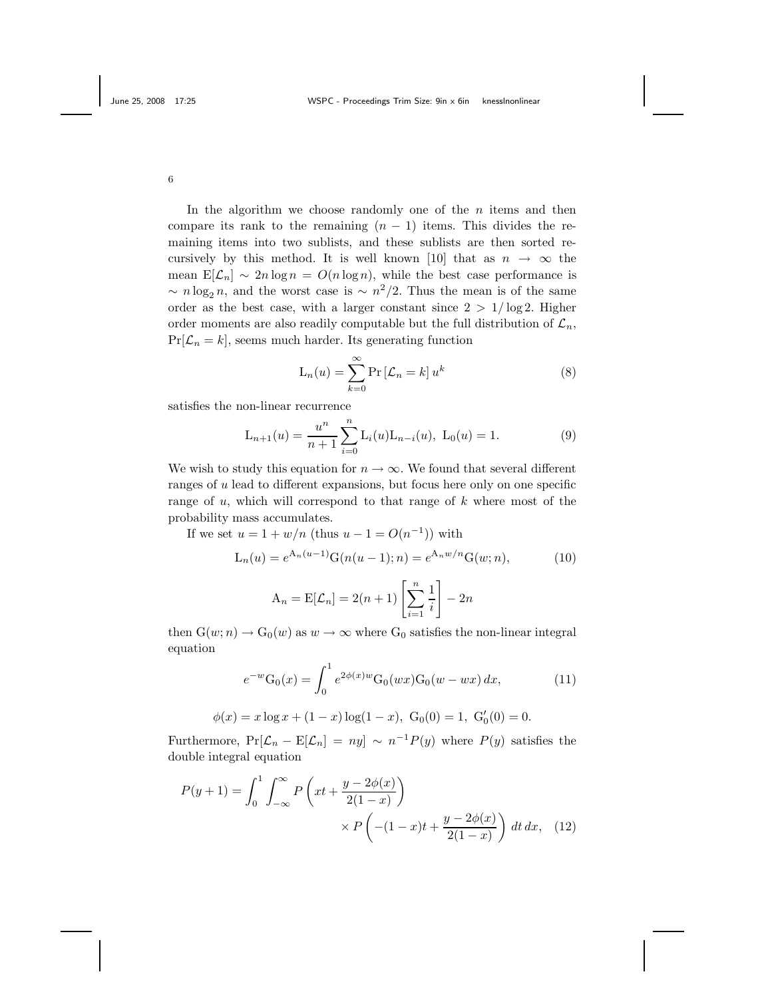In the algorithm we choose randomly one of the *n* items and then compare its rank to the remaining  $(n - 1)$  items. This divides the remaining items into two sublists, and these sublists are then sorted recursively by this method. It is well known [10] that as  $n \to \infty$  the mean  $E[\mathcal{L}_n] \sim 2n \log n = O(n \log n)$ , while the best case performance is  $\sim n \log_2 n$ , and the worst case is  $\sim n^2/2$ . Thus the mean is of the same order as the best case, with a larger constant since  $2 > 1/\log 2$ . Higher order moments are also readily computable but the full distribution of  $\mathcal{L}_n$ ,  $Pr[\mathcal{L}_n = k]$ , seems much harder. Its generating function

$$
L_n(u) = \sum_{k=0}^{\infty} \Pr\left[\mathcal{L}_n = k\right] u^k
$$
 (8)

satisfies the non-linear recurrence

$$
L_{n+1}(u) = \frac{u^n}{n+1} \sum_{i=0}^{n} L_i(u) L_{n-i}(u), L_0(u) = 1.
$$
 (9)

We wish to study this equation for  $n \to \infty$ . We found that several different ranges of *u* lead to different expansions, but focus here only on one specific range of *u*, which will correspond to that range of *k* where most of the probability mass accumulates.

If we set 
$$
u = 1 + w/n
$$
 (thus  $u - 1 = O(n^{-1})$ ) with  
\n
$$
L_n(u) = e^{A_n(u-1)}G(n(u-1); n) = e^{A_n w/n}G(w; n),
$$
\n(10)

$$
A_n = E[\mathcal{L}_n] = 2(n+1) \left[ \sum_{i=1}^n \frac{1}{i} \right] - 2n
$$

then  $G(w; n) \to G_0(w)$  as  $w \to \infty$  where  $G_0$  satisfies the non-linear integral equation

$$
e^{-w}G_0(x) = \int_0^1 e^{2\phi(x)w}G_0(wx)G_0(w - wx) dx,
$$
 (11)

$$
\phi(x) = x \log x + (1 - x) \log(1 - x), \ G_0(0) = 1, \ G'_0(0) = 0.
$$

Furthermore,  $Pr[\mathcal{L}_n - E[\mathcal{L}_n] = ny] \sim n^{-1}P(y)$  where  $P(y)$  satisfies the double integral equation

$$
P(y+1) = \int_0^1 \int_{-\infty}^{\infty} P\left(xt + \frac{y - 2\phi(x)}{2(1-x)}\right) \times P\left(-(1-x)t + \frac{y - 2\phi(x)}{2(1-x)}\right) dt dx, \quad (12)
$$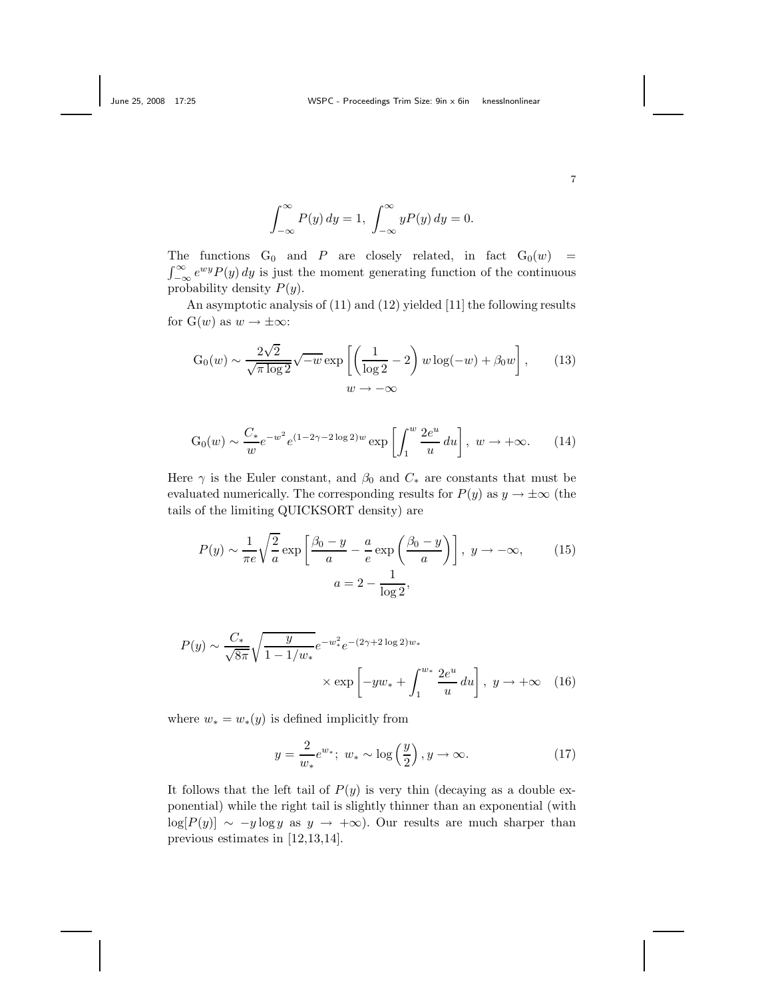$$
\int_{-\infty}^{\infty} P(y) dy = 1, \int_{-\infty}^{\infty} yP(y) dy = 0.
$$

The functions  $G_0$  and *P* are closely related, in fact  $G_0(w)$  =  $\int_{-\infty}^{\infty} e^{wy} P(y) dy$  is just the moment generating function of the continuous probability density *P*(*y*).

An asymptotic analysis of (11) and (12) yielded [11] the following results for  $G(w)$  as  $w \to \pm \infty$ :

$$
G_0(w) \sim \frac{2\sqrt{2}}{\sqrt{\pi \log 2}} \sqrt{-w} \exp\left[\left(\frac{1}{\log 2} - 2\right) w \log(-w) + \beta_0 w\right],\qquad(13)
$$

$$
w \to -\infty
$$

$$
G_0(w) \sim \frac{C_*}{w} e^{-w^2} e^{(1-2\gamma - 2\log 2)w} \exp\left[\int_1^w \frac{2e^u}{u} du\right], \ w \to +\infty.
$$
 (14)

Here  $\gamma$  is the Euler constant, and  $\beta_0$  and  $C_*$  are constants that must be evaluated numerically. The corresponding results for  $P(y)$  as  $y \to \pm \infty$  (the tails of the limiting QUICKSORT density) are

$$
P(y) \sim \frac{1}{\pi e} \sqrt{\frac{2}{a}} \exp\left[\frac{\beta_0 - y}{a} - \frac{a}{e} \exp\left(\frac{\beta_0 - y}{a}\right)\right], \ y \to -\infty,
$$
 (15)  

$$
a = 2 - \frac{1}{\log 2},
$$

$$
P(y) \sim \frac{C_*}{\sqrt{8\pi}} \sqrt{\frac{y}{1 - 1/w_*}} e^{-w_*^2} e^{-(2\gamma + 2\log 2)w_*}
$$
  
 
$$
\times \exp\left[-yw_* + \int_1^{w_*} \frac{2e^u}{u} du\right], \ y \to +\infty \quad (16)
$$

where  $w_* = w_*(y)$  is defined implicitly from

$$
y = \frac{2}{w_*} e^{w_*}; \ w_* \sim \log\left(\frac{y}{2}\right), y \to \infty.
$$
 (17)

It follows that the left tail of  $P(y)$  is very thin (decaying as a double exponential) while the right tail is slightly thinner than an exponential (with  $log[P(y)] \sim -y log y$  as  $y \to +\infty$ ). Our results are much sharper than previous estimates in [12,13,14].

7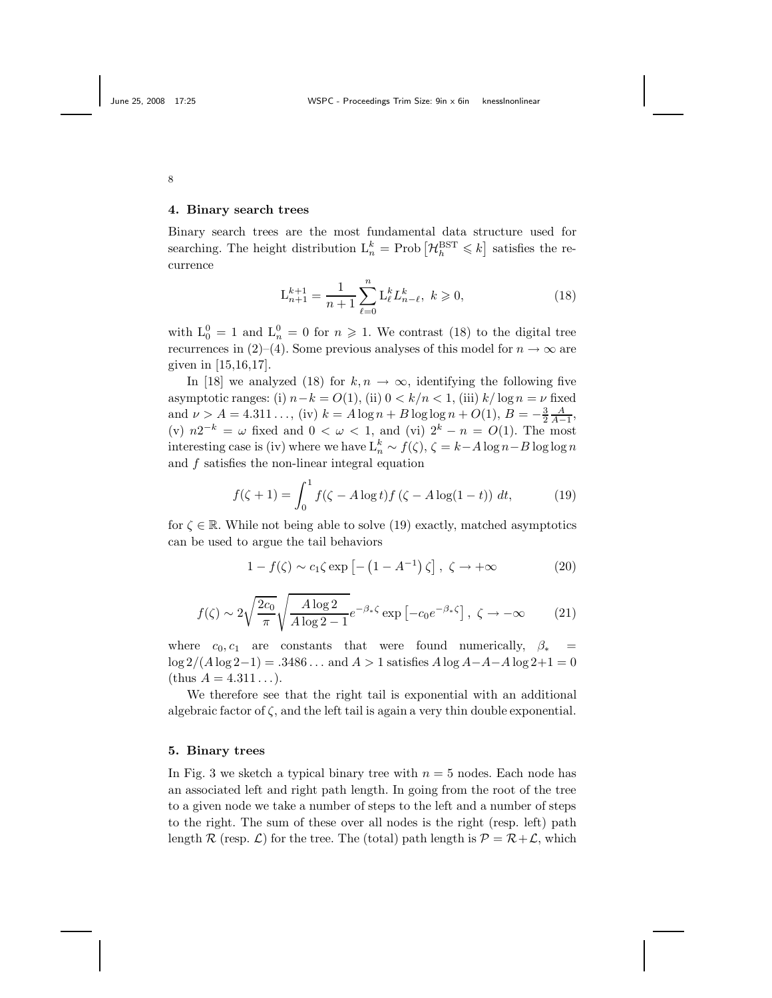#### **4. Binary search trees**

Binary search trees are the most fundamental data structure used for searching. The height distribution  $L_n^k = \text{Prob}\left[\mathcal{H}_h^{\text{BST}} \leqslant k\right]$  satisfies the recurrence

$$
\mathcal{L}_{n+1}^{k+1} = \frac{1}{n+1} \sum_{\ell=0}^{n} \mathcal{L}_{\ell}^{k} \mathcal{L}_{n-\ell}^{k}, \ k \geqslant 0, \tag{18}
$$

with  $L_0^0 = 1$  and  $L_n^0 = 0$  for  $n \ge 1$ . We contrast (18) to the digital tree recurrences in (2)–(4). Some previous analyses of this model for  $n \to \infty$  are given in [15,16,17].

In [18] we analyzed (18) for  $k, n \to \infty$ , identifying the following five asymptotic ranges: (i)  $n-k = O(1)$ , (ii)  $0 < k/n < 1$ , (iii)  $k/\log n = \nu$  fixed and  $\nu > A = 4.311...$ , (iv)  $k = A \log n + B \log \log n + O(1), B = -\frac{3}{2}\frac{A}{A-1}$ , (v)  $n2^{-k} = \omega$  fixed and  $0 < \omega < 1$ , and (vi)  $2^{k} - n = O(1)$ . The most interesting case is (iv) where we have  $L_n^k \sim f(\zeta), \zeta = k - A \log n - B \log \log n$ and *f* satisfies the non-linear integral equation

$$
f(\zeta + 1) = \int_0^1 f(\zeta - A \log t) f(\zeta - A \log(1 - t)) dt,
$$
 (19)

for  $\zeta \in \mathbb{R}$ . While not being able to solve (19) exactly, matched asymptotics can be used to argue the tail behaviors

$$
1 - f(\zeta) \sim c_1 \zeta \exp \left[ -\left(1 - A^{-1}\right) \zeta \right], \ \zeta \to +\infty \tag{20}
$$

$$
f(\zeta) \sim 2\sqrt{\frac{2c_0}{\pi}} \sqrt{\frac{A\log 2}{A\log 2 - 1}} e^{-\beta_*\zeta} \exp\left[-c_0 e^{-\beta_*\zeta}\right], \ \zeta \to -\infty \tag{21}
$$

where  $c_0, c_1$  are constants that were found numerically,  $\beta_*$  = log 2*/*(*A* log 2−1) = *.*3486 *...* and *A >* 1 satisfies *A* log *A*−*A*−*A* log 2+1 = 0  $(\text{thus } A = 4.311...)$ .

We therefore see that the right tail is exponential with an additional algebraic factor of  $\zeta$ , and the left tail is again a very thin double exponential.

#### **5. Binary trees**

In Fig. 3 we sketch a typical binary tree with  $n = 5$  nodes. Each node has an associated left and right path length. In going from the root of the tree to a given node we take a number of steps to the left and a number of steps to the right. The sum of these over all nodes is the right (resp. left) path length  $\mathcal R$  (resp.  $\mathcal L$ ) for the tree. The (total) path length is  $\mathcal P = \mathcal R + \mathcal L$ , which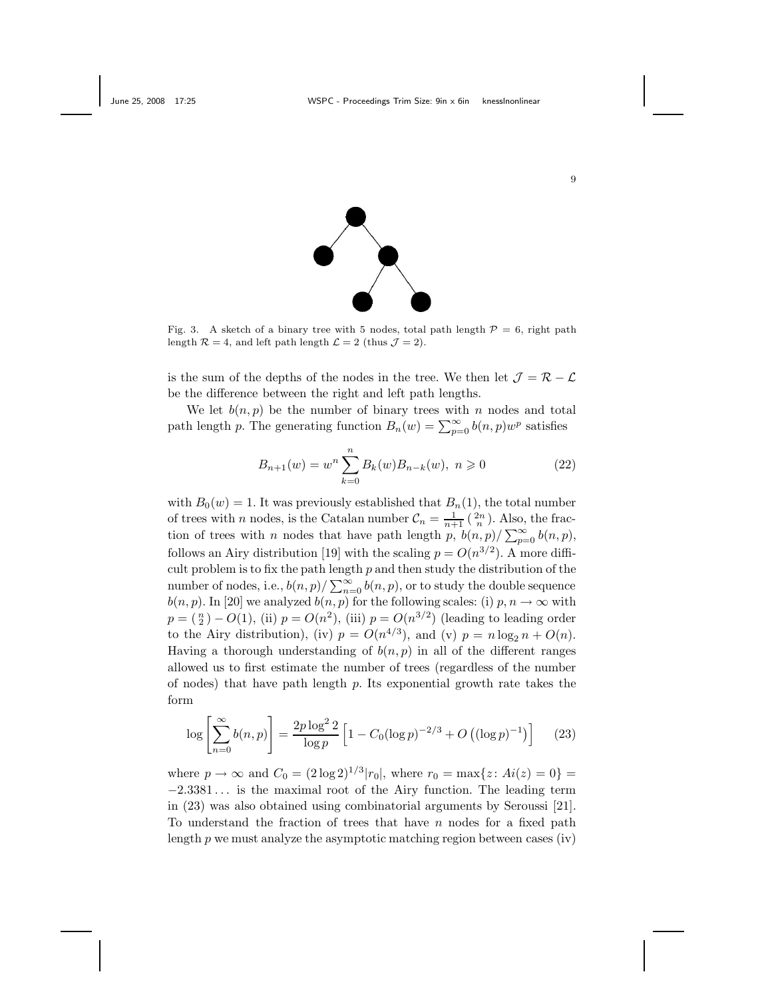

Fig. 3. A sketch of a binary tree with 5 nodes, total path length  $P = 6$ , right path length  $\mathcal{R} = 4$ , and left path length  $\mathcal{L} = 2$  (thus  $\mathcal{J} = 2$ ).

is the sum of the depths of the nodes in the tree. We then let  $\mathcal{J} = \mathcal{R} - \mathcal{L}$ be the difference between the right and left path lengths.

We let  $b(n, p)$  be the number of binary trees with *n* nodes and total path length *p*. The generating function  $B_n(w) = \sum_{p=0}^{\infty} b(n, p) w^p$  satisfies

$$
B_{n+1}(w) = w^n \sum_{k=0}^{n} B_k(w) B_{n-k}(w), \ n \geqslant 0 \tag{22}
$$

with  $B_0(w) = 1$ . It was previously established that  $B_n(1)$ , the total number of trees with *n* nodes, is the Catalan number  $C_n = \frac{1}{n+1} \binom{2n}{n}$ . Also, the fraction of trees with *n* nodes that have path length  $\frac{n+1}{p}$ ,  $\frac{b(n,p)}{\sum_{p=0}^{\infty} b(n,p)}$ , follows an Airy distribution [19] with the scaling  $p = O(n^{3/2})$ . A more difficult problem is to fix the path length *p* and then study the distribution of the number of nodes, i.e.,  $b(n, p) / \sum_{n=0}^{\infty} b(n, p)$ , or to study the double sequence  $b(n, p)$ . In [20] we analyzed  $b(n, p)$  for the following scales: (i)  $p, n \to \infty$  with  $p = \binom{n}{2} - O(1)$ , (ii)  $p = O(n^2)$ , (iii)  $p = O(n^{3/2})$  (leading to leading order to the Airy distribution), (iv)  $p = O(n^{4/3})$ , and (v)  $p = n \log_2 n + O(n)$ . Having a thorough understanding of  $b(n, p)$  in all of the different ranges allowed us to first estimate the number of trees (regardless of the number of nodes) that have path length *p*. Its exponential growth rate takes the form

$$
\log \left[ \sum_{n=0}^{\infty} b(n, p) \right] = \frac{2p \log^2 2}{\log p} \left[ 1 - C_0 (\log p)^{-2/3} + O\left( (\log p)^{-1} \right) \right] \tag{23}
$$

where  $p \to \infty$  and  $C_0 = (2 \log 2)^{1/3} |r_0|$ , where  $r_0 = \max\{z : Ai(z) = 0\}$ −2*.*3381 *...* is the maximal root of the Airy function. The leading term in (23) was also obtained using combinatorial arguments by Seroussi [21]. To understand the fraction of trees that have *n* nodes for a fixed path length  $p$  we must analyze the asymptotic matching region between cases (iv)

9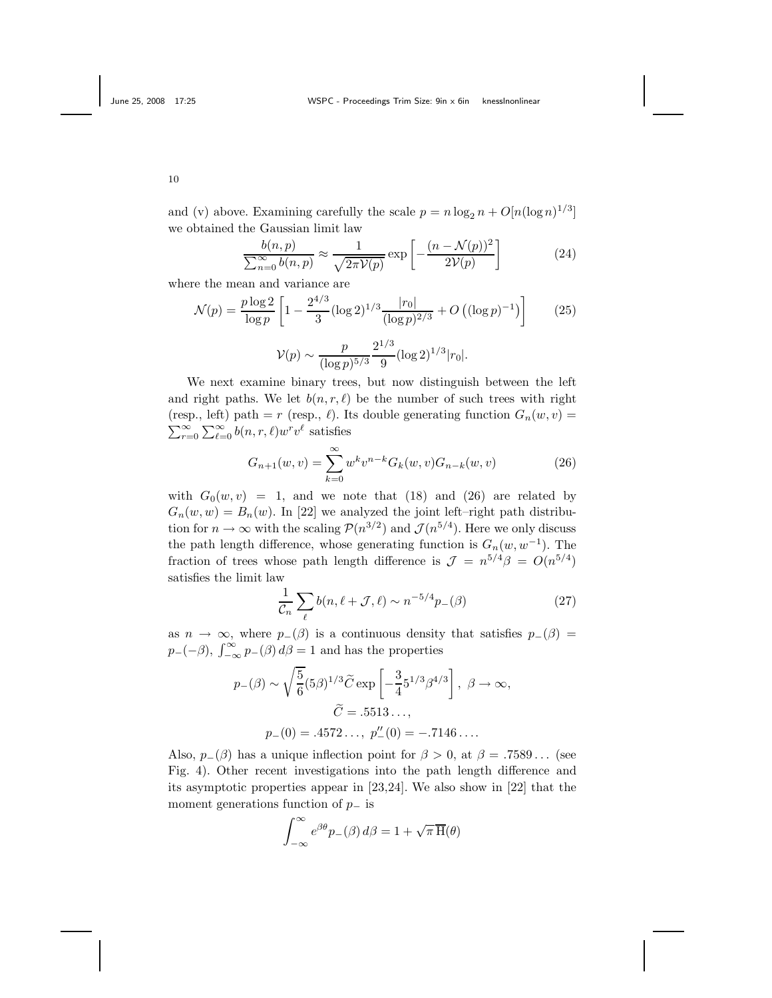and (v) above. Examining carefully the scale  $p = n \log_2 n + O(n(\log n)^{1/3}]$ we obtained the Gaussian limit law

$$
\frac{b(n,p)}{\sum_{n=0}^{\infty} b(n,p)} \approx \frac{1}{\sqrt{2\pi \mathcal{V}(p)}} \exp\left[-\frac{(n-\mathcal{N}(p))^2}{2\mathcal{V}(p)}\right]
$$
(24)

where the mean and variance are

$$
\mathcal{N}(p) = \frac{p \log 2}{\log p} \left[ 1 - \frac{2^{4/3}}{3} (\log 2)^{1/3} \frac{|r_0|}{(\log p)^{2/3}} + O\left( (\log p)^{-1} \right) \right] \tag{25}
$$

$$
\mathcal{V}(p) \sim \frac{p}{(\log p)^{5/3}} \frac{2^{1/3}}{9} (\log 2)^{1/3} |r_0|.
$$

We next examine binary trees, but now distinguish between the left and right paths. We let  $b(n, r, \ell)$  be the number of such trees with right (resp., left) path = *r* (resp.,  $\ell$ ). Its double generating function  $G_n(w, v)$  =  $\sum_{r=0}^{\infty} \sum_{\ell=0}^{\infty} b(n,r,\ell) w^r v^{\ell}$  satisfies

$$
G_{n+1}(w,v) = \sum_{k=0}^{\infty} w^k v^{n-k} G_k(w,v) G_{n-k}(w,v)
$$
 (26)

with  $G_0(w, v) = 1$ , and we note that (18) and (26) are related by  $G_n(w, w) = B_n(w)$ . In [22] we analyzed the joint left–right path distribution for  $n \to \infty$  with the scaling  $\mathcal{P}(n^{3/2})$  and  $\mathcal{J}(n^{5/4})$ . Here we only discuss the path length difference, whose generating function is  $G_n(w, w^{-1})$ . The fraction of trees whose path length difference is  $\mathcal{J} = n^{5/4}\beta = O(n^{5/4})$ satisfies the limit law

$$
\frac{1}{\mathcal{C}_n} \sum_{\ell} b(n, \ell + \mathcal{J}, \ell) \sim n^{-5/4} p_{-}(\beta) \tag{27}
$$

as  $n \to \infty$ , where  $p_-(\beta)$  is a continuous density that satisfies  $p_-(\beta)$  =  $p_{-}(-\beta)$ ,  $\int_{-\infty}^{\infty} p_{-}(\beta) d\beta = 1$  and has the properties

$$
p_{-}(\beta) \sim \sqrt{\frac{5}{6}} (5\beta)^{1/3} \widetilde{C} \exp \left[ -\frac{3}{4} 5^{1/3} \beta^{4/3} \right], \ \beta \to \infty,
$$
  
 $\widetilde{C} = .5513...,$   
 $p_{-}(0) = .4572..., p''_{-}(0) = -.7146...$ 

Also,  $p_-(\beta)$  has a unique inflection point for  $\beta > 0$ , at  $\beta = .7589...$  (see Fig. 4). Other recent investigations into the path length difference and its asymptotic properties appear in [23,24]. We also show in [22] that the moment generations function of *p*<sup>−</sup> is

$$
\int_{-\infty}^{\infty} e^{\beta \theta} p_{-}(\beta) d\beta = 1 + \sqrt{\pi} \overline{H}(\theta)
$$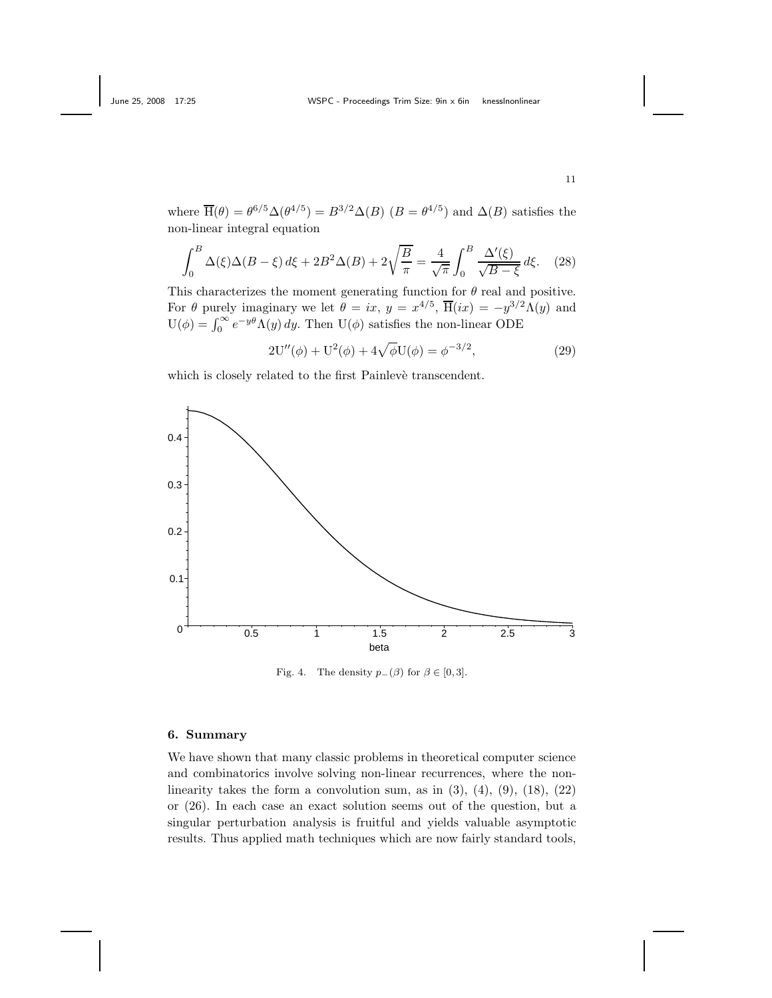where  $\overline{H}(\theta) = \theta^{6/5} \Delta(\theta^{4/5}) = B^{3/2} \Delta(B)$  (*B* =  $\theta^{4/5}$ ) and  $\Delta(B)$  satisfies the non-linear integral equation

$$
\int_0^B \Delta(\xi)\Delta(B-\xi)\,d\xi + 2B^2\Delta(B) + 2\sqrt{\frac{B}{\pi}} = \frac{4}{\sqrt{\pi}}\int_0^B \frac{\Delta'(\xi)}{\sqrt{B-\xi}}\,d\xi. \tag{28}
$$

This characterizes the moment generating function for  $\theta$  real and positive. For  $\theta$  purely imaginary we let  $\theta = ix$ ,  $y = x^{4/5}$ ,  $\overline{H}(ix) = -y^{3/2}\Lambda(y)$  and  $U(\phi) = \int_0^\infty e^{-y\theta} \Lambda(y) dy$ . Then  $U(\phi)$  satisfies the non-linear ODE

$$
2U''(\phi) + U^2(\phi) + 4\sqrt{\phi}U(\phi) = \phi^{-3/2},
$$
\n(29)

which is closely related to the first Painleve transcendent.



Fig. 4. The density  $p_-(\beta)$  for  $\beta \in [0,3]$ .

## **6. Summary**

We have shown that many classic problems in theoretical computer science and combinatorics involve solving non-linear recurrences, where the nonlinearity takes the form a convolution sum, as in  $(3)$ ,  $(4)$ ,  $(9)$ ,  $(18)$ ,  $(22)$ or (26). In each case an exact solution seems out of the question, but a singular perturbation analysis is fruitful and yields valuable asymptotic results. Thus applied math techniques which are now fairly standard tools,